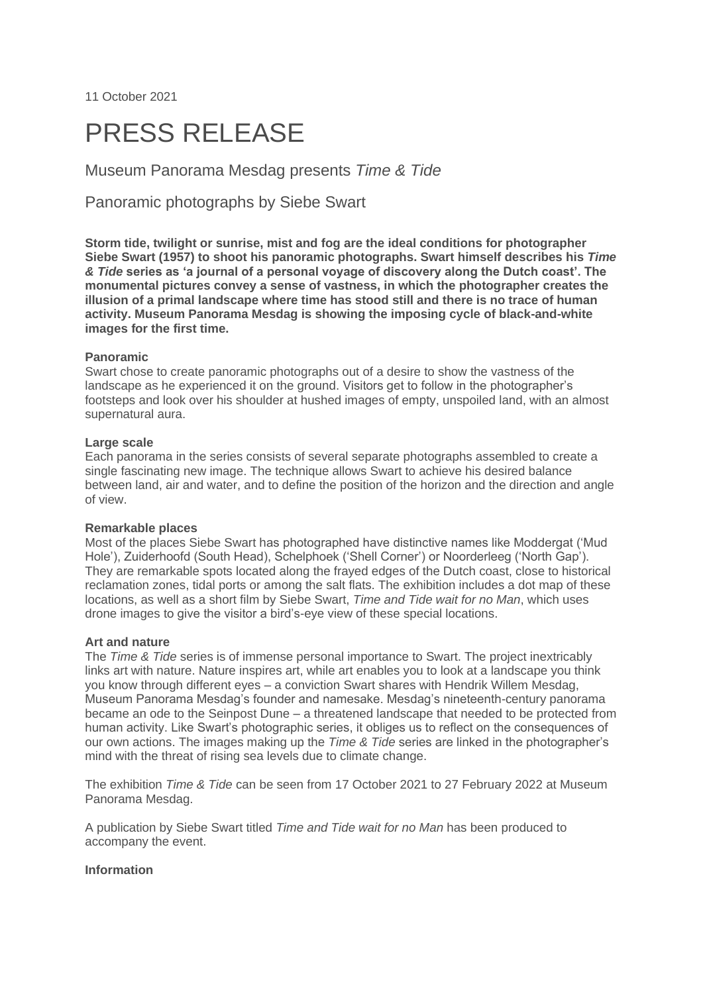11 October 2021

# PRESS RELEASE

Museum Panorama Mesdag presents *Time & Tide*

Panoramic photographs by Siebe Swart

**Storm tide, twilight or sunrise, mist and fog are the ideal conditions for photographer Siebe Swart (1957) to shoot his panoramic photographs. Swart himself describes his** *Time & Tide* **series as 'a journal of a personal voyage of discovery along the Dutch coast'. The monumental pictures convey a sense of vastness, in which the photographer creates the illusion of a primal landscape where time has stood still and there is no trace of human activity. Museum Panorama Mesdag is showing the imposing cycle of black-and-white images for the first time.**

## **Panoramic**

Swart chose to create panoramic photographs out of a desire to show the vastness of the landscape as he experienced it on the ground. Visitors get to follow in the photographer's footsteps and look over his shoulder at hushed images of empty, unspoiled land, with an almost supernatural aura.

#### **Large scale**

Each panorama in the series consists of several separate photographs assembled to create a single fascinating new image. The technique allows Swart to achieve his desired balance between land, air and water, and to define the position of the horizon and the direction and angle of view.

#### **Remarkable places**

Most of the places Siebe Swart has photographed have distinctive names like Moddergat ('Mud Hole'), Zuiderhoofd (South Head), Schelphoek ('Shell Corner') or Noorderleeg ('North Gap'). They are remarkable spots located along the frayed edges of the Dutch coast, close to historical reclamation zones, tidal ports or among the salt flats. The exhibition includes a dot map of these locations, as well as a short film by Siebe Swart, *[Time and Tide wait for no Man](https://youtu.be/iWVBGWLriFI)*, which uses drone images to give the visitor a bird's-eye view of these special locations.

#### **Art and nature**

The *Time & Tide* series is of immense personal importance to Swart. The project inextricably links art with nature. Nature inspires art, while art enables you to look at a landscape you think you know through different eyes – a conviction Swart shares with Hendrik Willem Mesdag, Museum Panorama Mesdag's founder and namesake. Mesdag's nineteenth-century panorama became an ode to the Seinpost Dune – a threatened landscape that needed to be protected from human activity. Like Swart's photographic series, it obliges us to reflect on the consequences of our own actions. The images making up the *Time & Tide* series are linked in the photographer's mind with the threat of rising sea levels due to climate change.

The exhibition *Time & Tide* can be seen from 17 October 2021 to 27 February 2022 at Museum Panorama Mesdag.

A publication by Siebe Swart titled *[Time and Tide wait for no Man](https://timeandtide.nl/het-boek/)* has been produced to accompany the event.

### **Information**